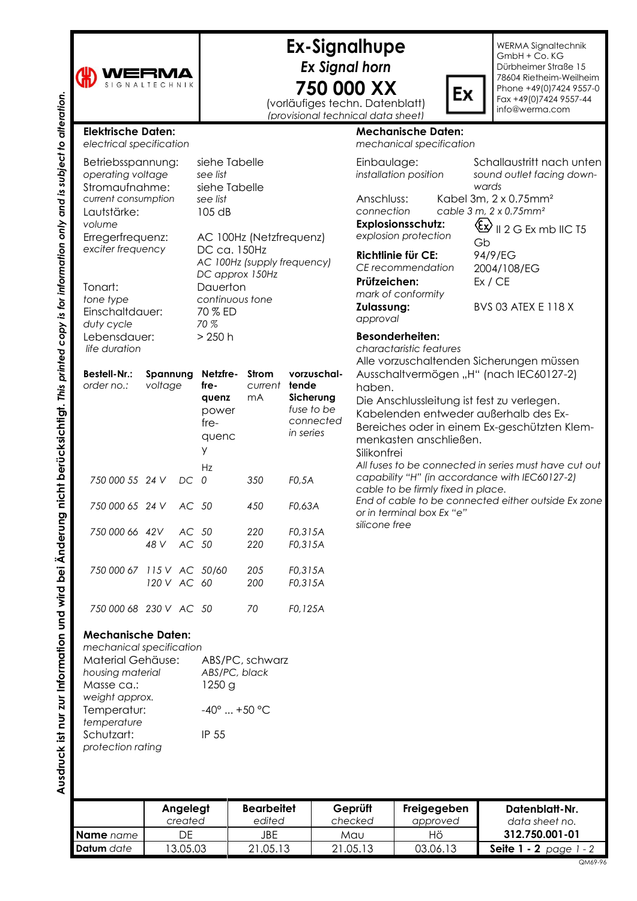| WERMA |  |  |  |  |  |  |
|-------|--|--|--|--|--|--|
|       |  |  |  |  |  |  |

## **Ex-Signalhupe** *Ex Signal horn* **750 000 XX**

(vorläufiges techn. Datenblatt) *(provisional technical data sheet)*

WERMA Signaltechnik GmbH + Co. KG Dürbheimer Straße 15 78604 Rietheim-Weilheim Phone +49(0)7424 9557-0 Fax +49(0)7424 9557-44 info@werma.com

| <b>Elektrische Daten:</b><br>electrical specification                                                                                                                                           |                     |                |                                                                        |                        |                    |                                                                        |                                                                                                                                                                                 | <b>Mechanische Daten:</b><br>mechanical specification                                 |  |  |
|-------------------------------------------------------------------------------------------------------------------------------------------------------------------------------------------------|---------------------|----------------|------------------------------------------------------------------------|------------------------|--------------------|------------------------------------------------------------------------|---------------------------------------------------------------------------------------------------------------------------------------------------------------------------------|---------------------------------------------------------------------------------------|--|--|
| Betriebsspannung:<br>operating voltage                                                                                                                                                          |                     |                | siehe Tabelle<br>see list<br>siehe Tabelle                             |                        |                    |                                                                        | Einbaulage:<br>installation position                                                                                                                                            |                                                                                       |  |  |
| Stromaufnahme:<br>current consumption<br>Lautstärke:<br>volume                                                                                                                                  |                     |                | see list<br>105 dB                                                     |                        |                    | Anschluss:<br>connection                                               | Kabel 3<br>cable 3<br>Explosionsschutz:                                                                                                                                         |                                                                                       |  |  |
| Erregerfrequenz:<br>exciter frequency                                                                                                                                                           |                     |                | AC 100Hz (Netzfrequenz)<br>DC ca. 150Hz<br>AC 100Hz (supply frequency) |                        |                    | explosion protection<br><b>Richtlinie für CE:</b><br>CE recommendation |                                                                                                                                                                                 |                                                                                       |  |  |
| Tonart:<br>tone type<br>Einschaltdauer:<br>duty cycle                                                                                                                                           |                     |                | DC approx 150Hz<br>Dauerton<br>continuous tone<br>70 % ED<br>70 %      |                        |                    |                                                                        | Prüfzeichen:<br>mark of conformity<br>Zulassung:<br>approval                                                                                                                    |                                                                                       |  |  |
| Lebensdauer:<br>life duration                                                                                                                                                                   |                     |                | $>250$ h                                                               |                        |                    |                                                                        |                                                                                                                                                                                 | <b>Besonderheiten:</b><br>charactaristic features                                     |  |  |
| <b>Bestell-Nr.:</b><br>order no.:                                                                                                                                                               | Spannung<br>voltage |                | Netzfre-<br>fre-<br>quenz<br>power<br>$fre-$<br>quenc<br>y             | Strom<br>current<br>mA | tende<br>in series | vorzuschal-<br>Sicherung<br>fuse to be<br>connected                    | Alle vorzuschaltenden :<br>Ausschaltvermögen "H<br>haben.<br>Die Anschlussleitung ist<br>Kabelenden entweder<br>Bereiches oder in einer<br>menkasten anschließer<br>Silikonfrei |                                                                                       |  |  |
| 750 000 55 24 V                                                                                                                                                                                 |                     | DC             | Hz<br>0                                                                | 350                    | FO, 5A             |                                                                        |                                                                                                                                                                                 | All fuses to be connected<br>capability "H" (in accord<br>cable to be firmly fixed in |  |  |
| 750 000 65 24 V                                                                                                                                                                                 |                     | AC 50          |                                                                        | 450                    | F0,63A             |                                                                        |                                                                                                                                                                                 | End of cable to be conne<br>or in terminal box Ex "e"                                 |  |  |
| 750 000 66 42V                                                                                                                                                                                  | 48 V                | AC 50<br>AC 50 |                                                                        | 220<br>220             | F0,315A<br>F0,315A |                                                                        | silicone free                                                                                                                                                                   |                                                                                       |  |  |
| 750 000 67 115 V AC 50/60                                                                                                                                                                       | 120 V AC            |                | 60                                                                     | 205<br>200             | F0,315A<br>F0,315A |                                                                        |                                                                                                                                                                                 |                                                                                       |  |  |
| 750 000 68 230 V AC 50                                                                                                                                                                          |                     |                |                                                                        | 70                     | F0,125A            |                                                                        |                                                                                                                                                                                 |                                                                                       |  |  |
| <b>Mechanische Daten:</b><br>mechanical specification<br>Material Gehäuse:<br>housing material<br>Masse ca.:<br>weight approx.<br>Temperatur:<br>temperature<br>Schutzart:<br>protection rating |                     |                | ABS/PC, black<br>1250 g<br>$-40^{\circ}$ +50 °C<br>IP 55               | ABS/PC, schwarz        |                    |                                                                        |                                                                                                                                                                                 |                                                                                       |  |  |
|                                                                                                                                                                                                 |                     | Angelegt       |                                                                        | <b>Bearbeitet</b>      |                    |                                                                        | Geprüft                                                                                                                                                                         | Freigegeben                                                                           |  |  |

*sound outlet facing downwards*  $3m$ , 2 x 0.75mm<sup>2</sup> *cable 3 m, 2 x 0.75mm²*  $\bigotimes$  **II** 2 G Ex mb IIC T5

Schallaustritt nach unten

Gb 94/9/EG 2004/108/EG Ex / CE

BVS 03 ATEX E 118 X

n Sicherungen müssen H" (nach IEC60127-2) st fest zu verlegen.

Ex

er außerhalb des Exem Ex-geschützten Klemen. *All fuses to be connected in series must have cut out capability "H" (in accordance with IEC60127-2) cable to be firmly fixed in place. End of cable to be connected either outside Ex zone* 

**Ausdruck ist nur zur Information und wird bei Änderung nicht berücksichtigt.** *This printed copy is for information only and is subject to alteration.*

Ausdruck ist nur zur Information und wird bei Änderung nicht berücksichtigt. This printed copy is for information only and is subject to alteration.

|                   | Angelegt<br>created | <b>Bearbeitet</b><br>edited | Geprüft<br>checked | Freigegeben<br>approved | Datenblatt-Nr.<br>data sheet no. |
|-------------------|---------------------|-----------------------------|--------------------|-------------------------|----------------------------------|
| <b>Name</b> name  | DF                  | JBE                         | Mau                | Ηö                      | 312.750.001-01                   |
| <b>Datum</b> date | 13.05.03            | 21.05.13                    | 21.05.13           | 03.06.13                | <b>Seite 1 - 2</b> page 1 - 2    |

QM69-96